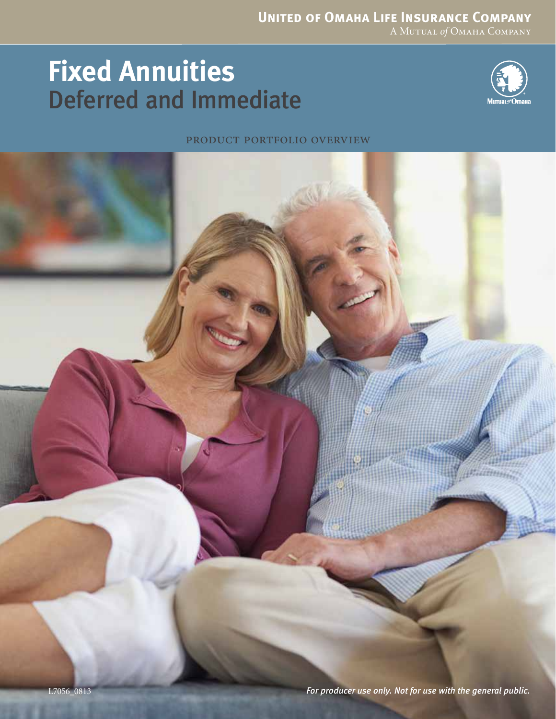# **Fixed Annuities** Deferred and Immediate



product portfolio overview

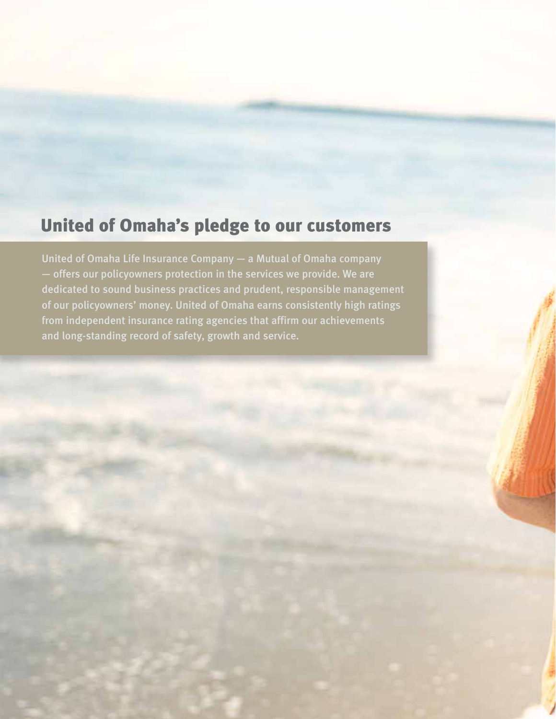## United of Omaha's pledge to our customers

United of Omaha Life Insurance Company — a Mutual of Omaha company — offers our policyowners protection in the services we provide. We are dedicated to sound business practices and prudent, responsible management of our policyowners' money. United of Omaha earns consistently high ratings from independent insurance rating agencies that affirm our achievements and long-standing record of safety, growth and service.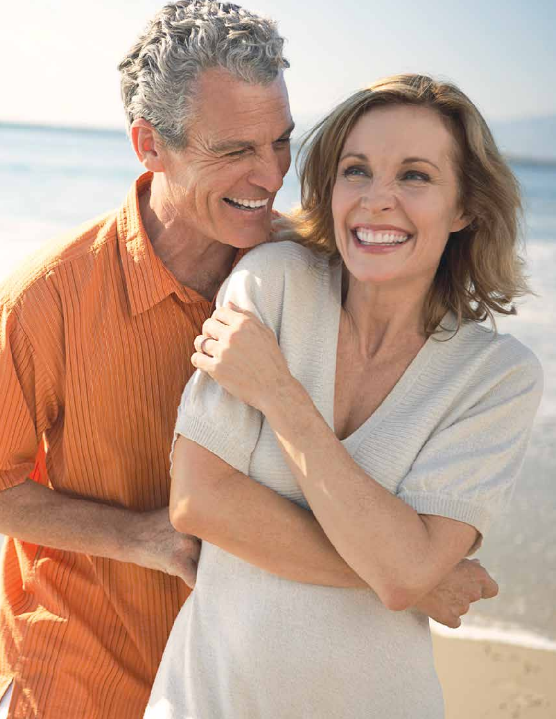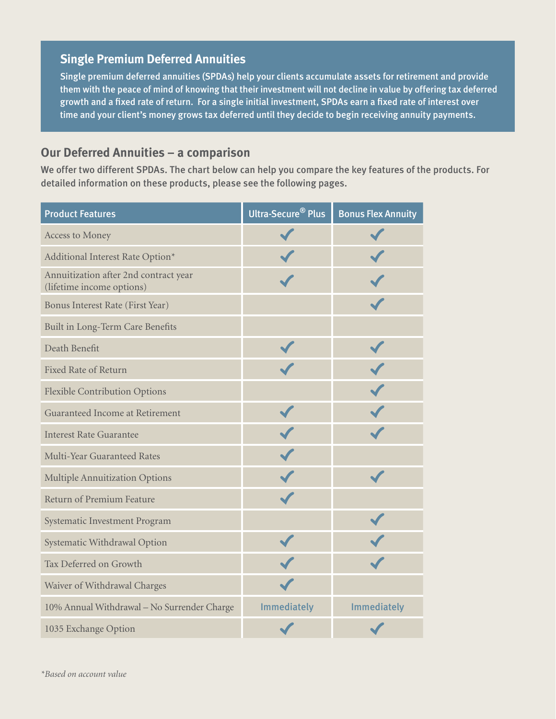### **Single Premium Deferred Annuities**

Single premium deferred annuities (SPDAs) help your clients accumulate assets for retirement and provide them with the peace of mind of knowing that their investment will not decline in value by offering tax deferred growth and a fixed rate of return. For a single initial investment, SPDAs earn a fixed rate of interest over time and your client's money grows tax deferred until they decide to begin receiving annuity payments.

### **Our Deferred Annuities – a comparison**

We offer two different SPDAs. The chart below can help you compare the key features of the products. For detailed information on these products, please see the following pages.

| <b>Product Features</b>                                            | Ultra-Secure <sup>®</sup> Plus | <b>Bonus Flex Annuity</b> |
|--------------------------------------------------------------------|--------------------------------|---------------------------|
| Access to Money                                                    |                                |                           |
| Additional Interest Rate Option*                                   |                                |                           |
| Annuitization after 2nd contract year<br>(lifetime income options) |                                |                           |
| Bonus Interest Rate (First Year)                                   |                                |                           |
| Built in Long-Term Care Benefits                                   |                                |                           |
| Death Benefit                                                      |                                |                           |
| <b>Fixed Rate of Return</b>                                        |                                |                           |
| <b>Flexible Contribution Options</b>                               |                                |                           |
| Guaranteed Income at Retirement                                    |                                |                           |
| <b>Interest Rate Guarantee</b>                                     |                                |                           |
| Multi-Year Guaranteed Rates                                        |                                |                           |
| Multiple Annuitization Options                                     |                                |                           |
| Return of Premium Feature                                          |                                |                           |
| Systematic Investment Program                                      |                                |                           |
| Systematic Withdrawal Option                                       |                                |                           |
| Tax Deferred on Growth                                             |                                |                           |
| Waiver of Withdrawal Charges                                       |                                |                           |
| 10% Annual Withdrawal - No Surrender Charge                        | <b>Immediately</b>             | <b>Immediately</b>        |
| 1035 Exchange Option                                               |                                |                           |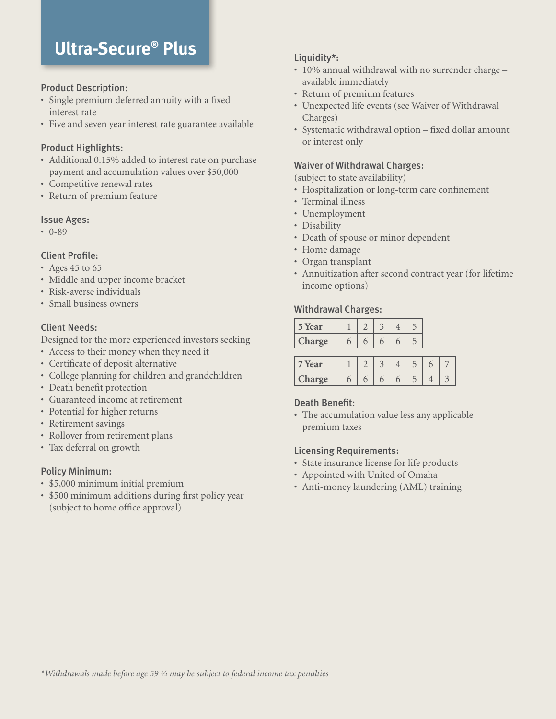## **Ultra-Secure® Plus**

### Product Description:

- Single premium deferred annuity with a fixed interest rate
- Five and seven year interest rate guarantee available

### Product Highlights:

- Additional 0.15% added to interest rate on purchase payment and accumulation values over \$50,000
- Competitive renewal rates
- Return of premium feature

### Issue Ages:

• 0-89

### Client Profile:

- Ages 45 to 65
- Middle and upper income bracket
- Risk-averse individuals
- Small business owners

### Client Needs:

Designed for the more experienced investors seeking

- Access to their money when they need it
- Certificate of deposit alternative
- College planning for children and grandchildren
- Death benefit protection
- Guaranteed income at retirement
- Potential for higher returns
- Retirement savings
- Rollover from retirement plans
- Tax deferral on growth

### Policy Minimum:

- \$5,000 minimum initial premium
- \$500 minimum additions during first policy year (subject to home office approval)

### Liquidity\*:

- 10% annual withdrawal with no surrender charge available immediately
- Return of premium features
- Unexpected life events (see Waiver of Withdrawal Charges)
- Systematic withdrawal option fixed dollar amount or interest only

### Waiver of Withdrawal Charges:

(subject to state availability)

- Hospitalization or long-term care confinement
- Terminal illness
- Unemployment
- Disability
- Death of spouse or minor dependent
- Home damage
- Organ transplant
- Annuitization after second contract year (for lifetime income options)

### Withdrawal Charges:

| 5 Year |  |  |  |
|--------|--|--|--|
| harge  |  |  |  |

| Year |  |  |  |  |
|------|--|--|--|--|
| arge |  |  |  |  |

### Death Benefit:

• The accumulation value less any applicable premium taxes

### Licensing Requirements:

- State insurance license for life products
- Appointed with United of Omaha
- Anti-money laundering (AML) training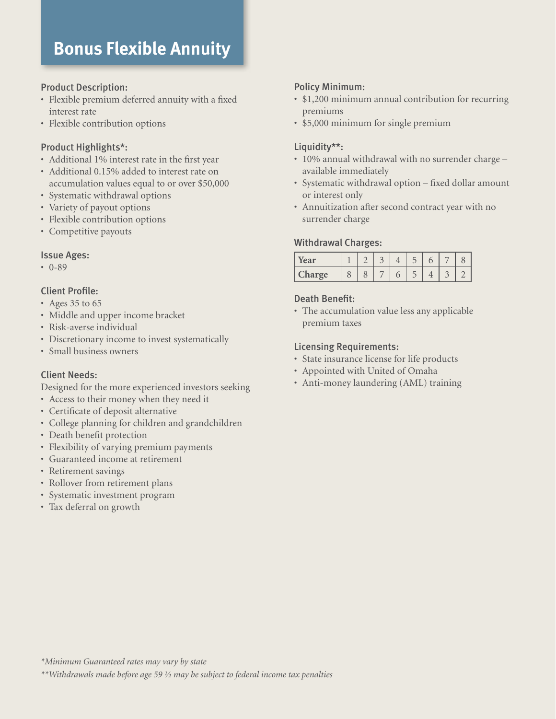## **Bonus Flexible Annuity**

### Product Description:

- Flexible premium deferred annuity with a fixed interest rate
- Flexible contribution options

### Product Highlights\*:

- Additional 1% interest rate in the first year
- Additional 0.15% added to interest rate on accumulation values equal to or over \$50,000
- Systematic withdrawal options
- Variety of payout options
- Flexible contribution options
- Competitive payouts

### Issue Ages:

 $• 0 - 89$ 

### Client Profile:

- Ages 35 to 65
- Middle and upper income bracket
- Risk-averse individual
- Discretionary income to invest systematically
- Small business owners

### Client Needs:

Designed for the more experienced investors seeking

- Access to their money when they need it
- Certificate of deposit alternative
- College planning for children and grandchildren
- Death benefit protection
- Flexibility of varying premium payments
- Guaranteed income at retirement
- Retirement savings
- Rollover from retirement plans
- Systematic investment program
- Tax deferral on growth

### Policy Minimum:

- \$1,200 minimum annual contribution for recurring premiums
- \$5,000 minimum for single premium

### Liquidity\*\*:

- 10% annual withdrawal with no surrender charge available immediately
- Systematic withdrawal option fixed dollar amount or interest only
- Annuitization after second contract year with no surrender charge

### Withdrawal Charges:

| Year          |  |  |  |  |  |
|---------------|--|--|--|--|--|
| <i>Charge</i> |  |  |  |  |  |

### Death Benefit:

• The accumulation value less any applicable premium taxes

### Licensing Requirements:

- State insurance license for life products
- Appointed with United of Omaha
- Anti-money laundering (AML) training

*\*Minimum Guaranteed rates may vary by state*

*\*\*Withdrawals made before age 59 ½ may be subject to federal income tax penalties*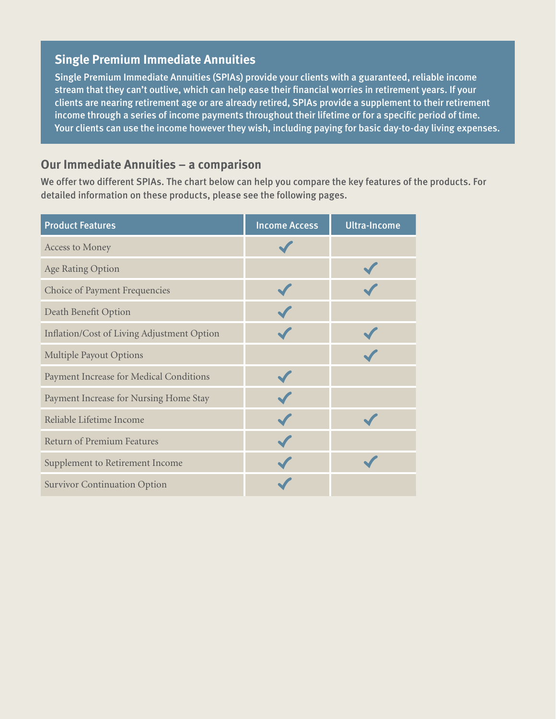### **Single Premium Immediate Annuities**

Single Premium Immediate Annuities (SPIAs) provide your clients with a guaranteed, reliable income stream that they can't outlive, which can help ease their financial worries in retirement years. If your clients are nearing retirement age or are already retired, SPIAs provide a supplement to their retirement income through a series of income payments throughout their lifetime or for a specific period of time. Your clients can use the income however they wish, including paying for basic day-to-day living expenses.

### **Our Immediate Annuities – a comparison**

We offer two different SPIAs. The chart below can help you compare the key features of the products. For detailed information on these products, please see the following pages.

| <b>Product Features</b>                    | <b>Income Access</b> | <b>Ultra-Income</b> |
|--------------------------------------------|----------------------|---------------------|
| Access to Money                            |                      |                     |
| Age Rating Option                          |                      |                     |
| Choice of Payment Frequencies              |                      |                     |
| Death Benefit Option                       |                      |                     |
| Inflation/Cost of Living Adjustment Option |                      |                     |
| <b>Multiple Payout Options</b>             |                      |                     |
| Payment Increase for Medical Conditions    |                      |                     |
| Payment Increase for Nursing Home Stay     |                      |                     |
| Reliable Lifetime Income                   |                      |                     |
| <b>Return of Premium Features</b>          |                      |                     |
| Supplement to Retirement Income            |                      |                     |
| <b>Survivor Continuation Option</b>        |                      |                     |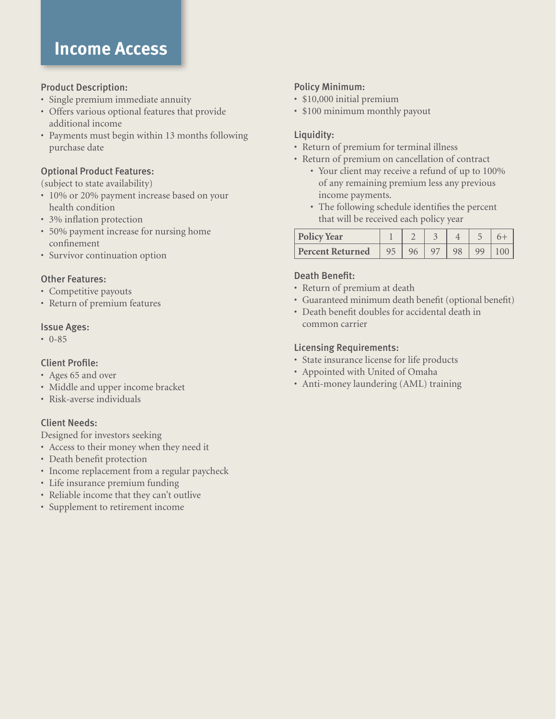## **Income Access**

### Product Description:

- Single premium immediate annuity
- Offers various optional features that provide additional income
- Payments must begin within 13 months following purchase date

### Optional Product Features:

(subject to state availability)

- 10% or 20% payment increase based on your health condition
- 3% inflation protection
- 50% payment increase for nursing home confinement
- Survivor continuation option

### Other Features:

- Competitive payouts
- Return of premium features

### Issue Ages:

 $0 - 85$ 

### Client Profile:

- Ages 65 and over
- Middle and upper income bracket
- Risk-averse individuals

### Client Needs:

Designed for investors seeking

- Access to their money when they need it
- Death benefit protection
- Income replacement from a regular paycheck
- Life insurance premium funding
- Reliable income that they can't outlive
- Supplement to retirement income

### Policy Minimum:

- \$10,000 initial premium
- \$100 minimum monthly payout

### Liquidity:

- Return of premium for terminal illness
- Return of premium on cancellation of contract
	- Your client may receive a refund of up to 100% of any remaining premium less any previous income payments.
	- The following schedule identifies the percent that will be received each policy year

| Policy Year             |  |       |  |  |
|-------------------------|--|-------|--|--|
| <b>Percent Returned</b> |  | $Q^r$ |  |  |

### Death Benefit:

- Return of premium at death
- Guaranteed minimum death benefit (optional benefit)
- Death benefit doubles for accidental death in common carrier

### Licensing Requirements:

- State insurance license for life products
- Appointed with United of Omaha
- Anti-money laundering (AML) training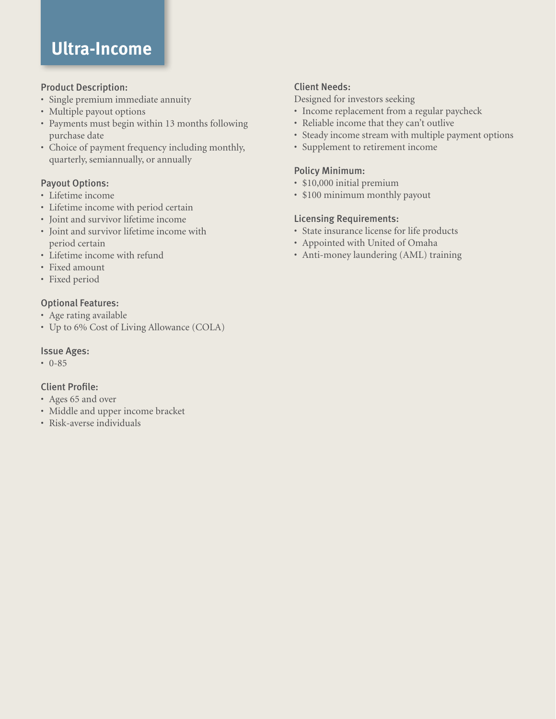## **Ultra-Income**

### Product Description:

- Single premium immediate annuity
- Multiple payout options
- Payments must begin within 13 months following purchase date
- Choice of payment frequency including monthly, quarterly, semiannually, or annually

### Payout Options:

- Lifetime income
- Lifetime income with period certain
- Joint and survivor lifetime income
- Joint and survivor lifetime income with period certain
- Lifetime income with refund
- Fixed amount
- Fixed period

### Optional Features:

- Age rating available
- Up to 6% Cost of Living Allowance (COLA)

### Issue Ages:

 $\cdot$  0-85

### Client Profile:

- Ages 65 and over
- Middle and upper income bracket
- Risk-averse individuals

### Client Needs:

Designed for investors seeking

- Income replacement from a regular paycheck
- Reliable income that they can't outlive
- Steady income stream with multiple payment options
- Supplement to retirement income

### Policy Minimum:

- \$10,000 initial premium
- \$100 minimum monthly payout

### Licensing Requirements:

- State insurance license for life products
- Appointed with United of Omaha
- Anti-money laundering (AML) training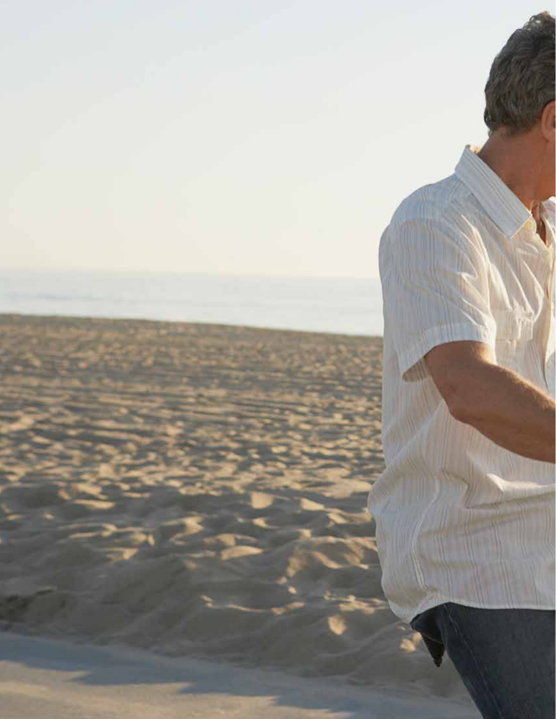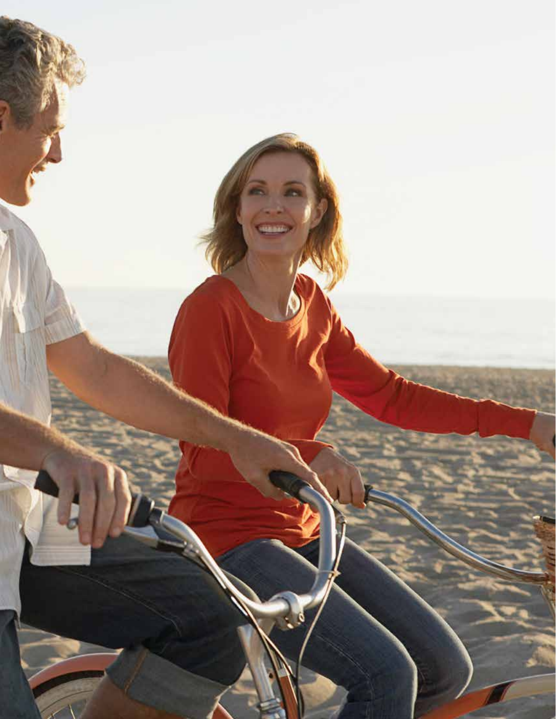